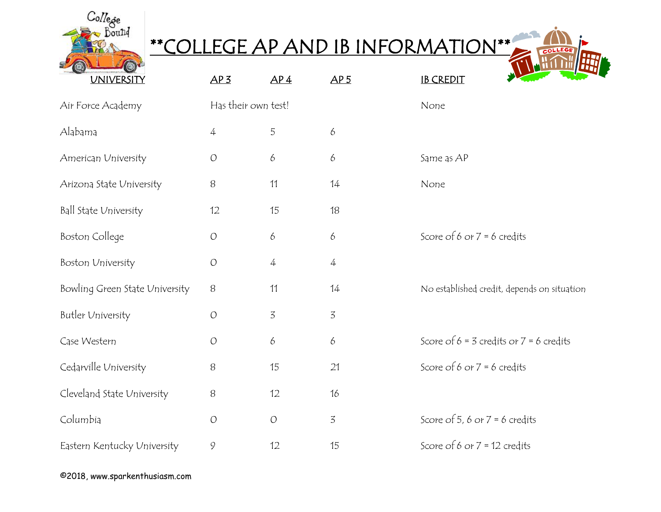

## \*\*COLLEGE AP AND IB INFORMATION\*\*

COLLEGE

| <b>UNIVERSITY</b>              | AP <sub>3</sub>     | AP <sub>4</sub> | AP <sub>5</sub> | <b>IB CREDIT</b>                            |
|--------------------------------|---------------------|-----------------|-----------------|---------------------------------------------|
| Air Force Academy              | Has their own test! |                 |                 | None                                        |
| Alabama                        | $\overline{4}$      | 5               | 6               |                                             |
| American University            | $\bigcirc$          | 6               | 6               | Same as AP                                  |
| Arizona State University       | $\, 8$              | 11              | 14              | None                                        |
| Ball State University          | 12                  | 15              | 18              |                                             |
| Boston College                 | $\overline{O}$      | 6               | 6               | Score of 6 or $7 = 6$ credits               |
| Boston University              | $\overline{O}$      | 4               | 4               |                                             |
| Bowling Green State University | 8                   | 11              | 14              | No established credit, depends on situation |
| Butler University              | $\overline{O}$      | 3               | 3               |                                             |
| Case Western                   | $\mathcal{O}$       | 6               | 6               | Score of $6 = 3$ credits or $7 = 6$ credits |
| Cedarville University          | $\, 8$              | 15              | 21              | Score of 6 or $7 = 6$ credits               |
| Cleveland State University     | $\, 8$              | 12              | 16              |                                             |
| Columbia                       | $\bigcirc$          | $\bigcirc$      | 3               | Score of 5, 6 or $7 = 6$ credits            |
| Eastern Kentucky University    | $\mathcal{G}$       | 12              | 15              | Score of 6 or $7 = 12$ credits              |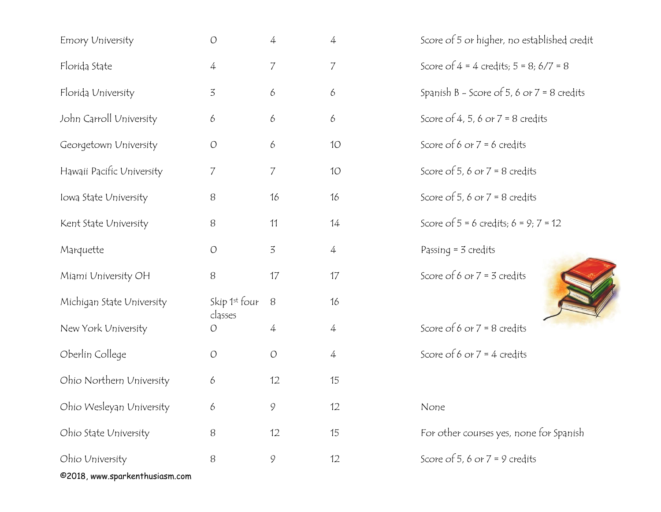| Emory University               | $\bigcirc$               | 4              | 4              | Score of 5 or higher, no established credit  |
|--------------------------------|--------------------------|----------------|----------------|----------------------------------------------|
| Florida State                  | $\overline{4}$           | $\overline{7}$ | 7              | Score of $4 = 4$ credits; $5 = 8; 6/7 = 8$   |
| Florida University             | $\overline{3}$           | 6              | 6              | Spanish B - Score of 5, 6 or $7 = 8$ credits |
| John Carroll University        | 6                        | 6              | 6              | Score of 4, 5, 6 or $7 = 8$ credits          |
| Georgetown University          | $\bigcirc$               | 6              | 10             | Score of 6 or $7 = 6$ credits                |
| Hawaii Pacific University      | 7                        | $\overline{7}$ | 10             | Score of 5, 6 or $7 = 8$ credits             |
| Iowa State University          | 8                        | 16             | 16             | Score of 5, 6 or $7 = 8$ credits             |
| Kent State University          | $\, 8$                   | 11             | 14             | Score of $5 = 6$ credits; $6 = 9$ ; $7 = 12$ |
| Marquette                      | $\cal O$                 | $\overline{3}$ | $\overline{4}$ | Passing $=$ 3 credits                        |
| Miami University OH            | 8                        | 17             | 17             | Score of 6 or $7 = 3$ credits                |
| Michigan State University      | Skip 1st four<br>classes | 8              | 16             |                                              |
| New York University            | O                        | $\overline{4}$ | $\overline{4}$ | Score of 6 or $7 = 8$ credits                |
| Oberlin College                | $\bigcirc$               | $\bigcirc$     | $\overline{4}$ | Score of 6 or $7 = 4$ credits                |
| Ohio Northern University       | 6                        | 12             | 15             |                                              |
| Ohio Wesleyan University       | 6                        | 9              | 12             | None                                         |
| Ohio State University          | 8                        | 12             | 15             | For other courses yes, none for Spanish      |
| Ohio University                | 8                        | 9              | 12             | Score of 5, 6 or $7 = 9$ credits             |
| @2018, www.sparkenthusiasm.com |                          |                |                |                                              |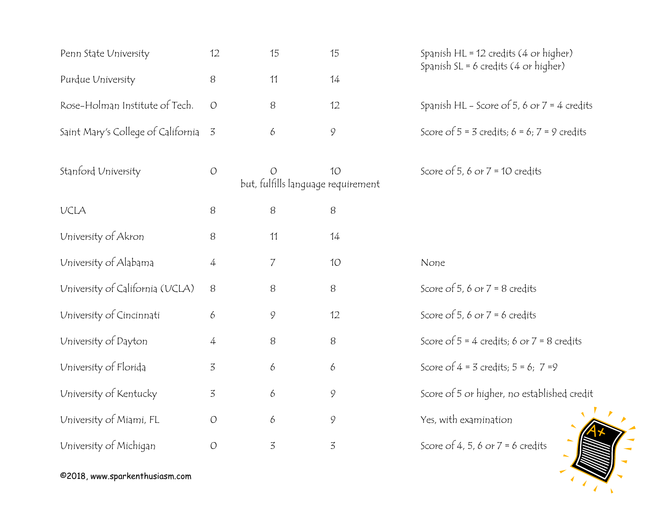| Penn State University              | 12             | 15                                                   | 15              | Spanish HL = 12 credits (4 or higher)<br>Spanish SL = 6 credits $(4$ or higher) |
|------------------------------------|----------------|------------------------------------------------------|-----------------|---------------------------------------------------------------------------------|
| Purdue University                  | 8              | 11                                                   | 14              |                                                                                 |
| Rose-Holman Institute of Tech.     | $\bigcirc$     | 8                                                    | 12              | Spanish HL - Score of 5, 6 or $7 = 4$ credits                                   |
| Saint Mary's College of California | 3              | 6                                                    | 9               | Score of $5 = 3$ credits; $6 = 6$ ; $7 = 9$ credits                             |
| Stanford University                | $\overline{O}$ | $\overline{O}$<br>but, fulfills language requirement | 10 <sup>°</sup> | Score of 5, 6 or $7 = 10$ credits                                               |
| <b>UCLA</b>                        | 8              | 8                                                    | 8               |                                                                                 |
| University of Akron                | 8              | 11                                                   | 14              |                                                                                 |
| University of Alabama              | 4              | $\overline{7}$                                       | 10              | None                                                                            |
| University of California (UCLA)    | 8              | 8                                                    | 8               | Score of 5, 6 or $7 = 8$ credits                                                |
| University of Cincinnati           | 6              | $\mathcal{G}$                                        | 12              | Score of 5, 6 or $7 = 6$ credits                                                |
| University of Dayton               | 4              | 8                                                    | 8               | Score of $5 = 4$ credits; 6 or $7 = 8$ credits                                  |
| University of Florida              | 3              | $\boldsymbol{\delta}$                                | 6               | Score of $4 = 3$ credits; $5 = 6$ ; $7 = 9$                                     |
| University of Kentucky             | 3              | 6                                                    | 9               | Score of 5 or higher, no established credit                                     |
| University of Miami, FL            | $\bigcirc$     | 6                                                    | 9               | Yes, with examination                                                           |
| University of Michigan             | $\bigcirc$     | $\overline{3}$                                       | 3               | Score of 4, 5, 6 or $7 = 6$ credits                                             |